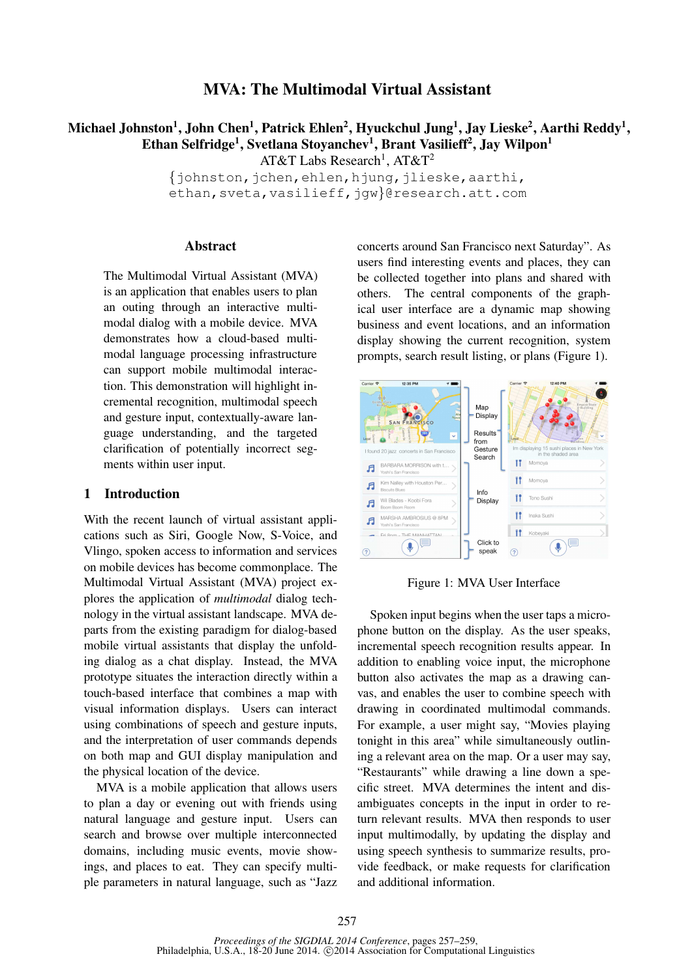## MVA: The Multimodal Virtual Assistant

# Michael Johnston $^1$ , John Chen $^1$ , Patrick Ehlen $^2$ , Hyuckchul Jung $^1$ , Jay Lieske $^2$ , Aarthi Reddy $^1$ , Ethan Selfridge<sup>1</sup>, Svetlana Stoyanchev<sup>1</sup>, Brant Vasilieff<sup>2</sup>, Jay Wilpon<sup>1</sup>

AT&T Labs Research<sup>1</sup>, AT&T<sup>2</sup>

 $\{\phi$ johnston,  $\phi$ chen, ehlen, h $\phi$ ung,  $\phi$ lieske, aarthi, ethan, sveta, vasilieff, jgw}@research.att.com

#### Abstract

The Multimodal Virtual Assistant (MVA) is an application that enables users to plan an outing through an interactive multimodal dialog with a mobile device. MVA demonstrates how a cloud-based multimodal language processing infrastructure can support mobile multimodal interaction. This demonstration will highlight incremental recognition, multimodal speech and gesture input, contextually-aware language understanding, and the targeted clarification of potentially incorrect segments within user input.

#### 1 Introduction

With the recent launch of virtual assistant applications such as Siri, Google Now, S-Voice, and Vlingo, spoken access to information and services on mobile devices has become commonplace. The Multimodal Virtual Assistant (MVA) project explores the application of *multimodal* dialog technology in the virtual assistant landscape. MVA departs from the existing paradigm for dialog-based mobile virtual assistants that display the unfolding dialog as a chat display. Instead, the MVA prototype situates the interaction directly within a touch-based interface that combines a map with visual information displays. Users can interact using combinations of speech and gesture inputs, and the interpretation of user commands depends on both map and GUI display manipulation and the physical location of the device.

MVA is a mobile application that allows users to plan a day or evening out with friends using natural language and gesture input. Users can search and browse over multiple interconnected domains, including music events, movie showings, and places to eat. They can specify multiple parameters in natural language, such as "Jazz concerts around San Francisco next Saturday". As users find interesting events and places, they can be collected together into plans and shared with others. The central components of the graphical user interface are a dynamic map showing business and event locations, and an information display showing the current recognition, system prompts, search result listing, or plans (Figure 1).



Figure 1: MVA User Interface

Spoken input begins when the user taps a microphone button on the display. As the user speaks, incremental speech recognition results appear. In addition to enabling voice input, the microphone button also activates the map as a drawing canvas, and enables the user to combine speech with drawing in coordinated multimodal commands. For example, a user might say, "Movies playing tonight in this area" while simultaneously outlining a relevant area on the map. Or a user may say, "Restaurants" while drawing a line down a specific street. MVA determines the intent and disambiguates concepts in the input in order to return relevant results. MVA then responds to user input multimodally, by updating the display and using speech synthesis to summarize results, provide feedback, or make requests for clarification and additional information.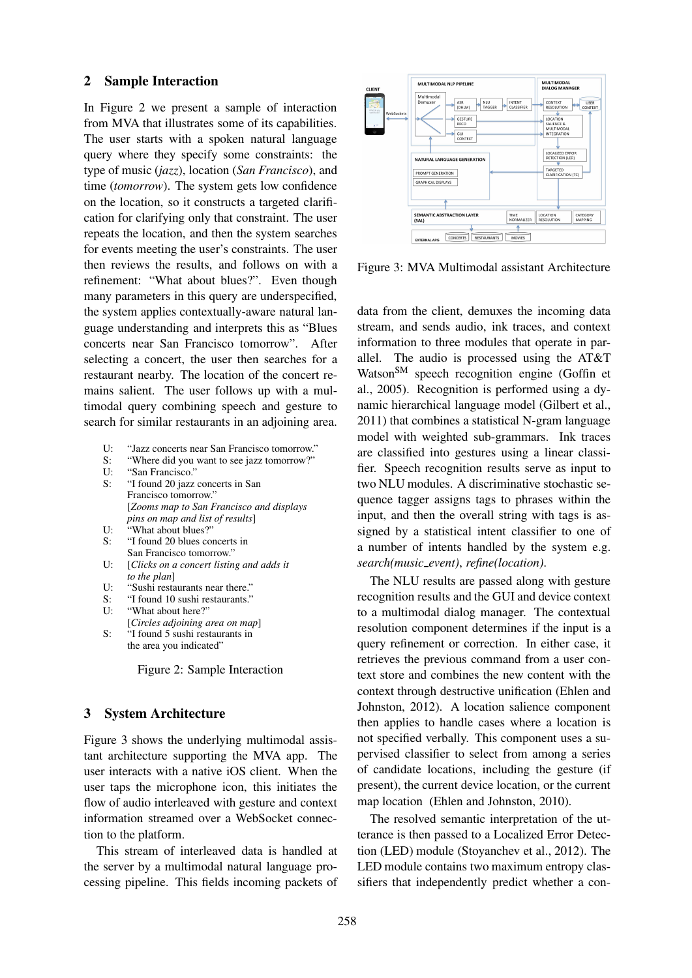#### 2 Sample Interaction

In Figure 2 we present a sample of interaction from MVA that illustrates some of its capabilities. The user starts with a spoken natural language query where they specify some constraints: the type of music (*jazz*), location (*San Francisco*), and time (*tomorrow*). The system gets low confidence on the location, so it constructs a targeted clarification for clarifying only that constraint. The user repeats the location, and then the system searches for events meeting the user's constraints. The user then reviews the results, and follows on with a refinement: "What about blues?". Even though many parameters in this query are underspecified, the system applies contextually-aware natural language understanding and interprets this as "Blues concerts near San Francisco tomorrow". After selecting a concert, the user then searches for a restaurant nearby. The location of the concert remains salient. The user follows up with a multimodal query combining speech and gesture to search for similar restaurants in an adjoining area.

- U: "Jazz concerts near San Francisco tomorrow."
- S: "Where did you want to see jazz tomorrow?"
- U: "San Francisco."
- S: "I found 20 jazz concerts in San Francisco tomorrow." [*Zooms map to San Francisco and displays pins on map and list of results*] U: "What about blues?"
- 
- S: "I found 20 blues concerts in San Francisco tomorrow."
- U: [*Clicks on a concert listing and adds it to the plan*]
- U: "Sushi restaurants near there."
- S: "I found 10 sushi restaurants."<br> $U:$  "What about here?"
- "What about here?"
- [*Circles adjoining area on map*] S: "I found 5 sushi restaurants in
- the area you indicated"

Figure 2: Sample Interaction

#### 3 System Architecture

Figure 3 shows the underlying multimodal assistant architecture supporting the MVA app. The user interacts with a native iOS client. When the user taps the microphone icon, this initiates the flow of audio interleaved with gesture and context information streamed over a WebSocket connection to the platform.

This stream of interleaved data is handled at the server by a multimodal natural language processing pipeline. This fields incoming packets of



Figure 3: MVA Multimodal assistant Architecture

data from the client, demuxes the incoming data stream, and sends audio, ink traces, and context information to three modules that operate in parallel. The audio is processed using the AT&T Watson<sup>SM</sup> speech recognition engine (Goffin et al., 2005). Recognition is performed using a dynamic hierarchical language model (Gilbert et al., 2011) that combines a statistical N-gram language model with weighted sub-grammars. Ink traces are classified into gestures using a linear classifier. Speech recognition results serve as input to two NLU modules. A discriminative stochastic sequence tagger assigns tags to phrases within the input, and then the overall string with tags is assigned by a statistical intent classifier to one of a number of intents handled by the system e.g. *search(music event)*, *refine(location)*.

The NLU results are passed along with gesture recognition results and the GUI and device context to a multimodal dialog manager. The contextual resolution component determines if the input is a query refinement or correction. In either case, it retrieves the previous command from a user context store and combines the new content with the context through destructive unification (Ehlen and Johnston, 2012). A location salience component then applies to handle cases where a location is not specified verbally. This component uses a supervised classifier to select from among a series of candidate locations, including the gesture (if present), the current device location, or the current map location (Ehlen and Johnston, 2010).

The resolved semantic interpretation of the utterance is then passed to a Localized Error Detection (LED) module (Stoyanchev et al., 2012). The LED module contains two maximum entropy classifiers that independently predict whether a con